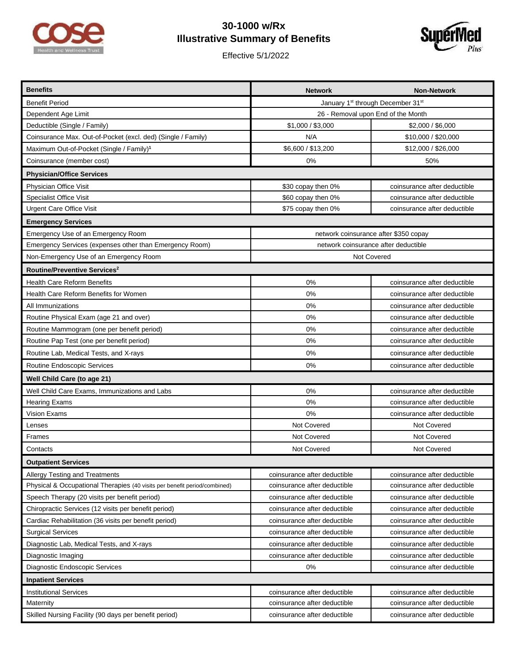

## **30-1000 w/Rx Illustrative Summary of Benefits**

Effective 5/1/2022



| <b>Benefits</b>                                                           | <b>Network</b>                        | <b>Non-Network</b>           |  |
|---------------------------------------------------------------------------|---------------------------------------|------------------------------|--|
| <b>Benefit Period</b>                                                     | January 1st through December 31st     |                              |  |
| Dependent Age Limit                                                       | 26 - Removal upon End of the Month    |                              |  |
| Deductible (Single / Family)                                              | \$1,000 / \$3,000                     | \$2,000 / \$6,000            |  |
| Coinsurance Max. Out-of-Pocket (excl. ded) (Single / Family)              | N/A                                   | \$10,000 / \$20,000          |  |
| Maximum Out-of-Pocket (Single / Family) <sup>1</sup>                      | \$6,600 / \$13,200                    | \$12,000 / \$26,000          |  |
| Coinsurance (member cost)                                                 | 0%                                    | 50%                          |  |
| <b>Physician/Office Services</b>                                          |                                       |                              |  |
| Physician Office Visit                                                    | \$30 copay then 0%                    | coinsurance after deductible |  |
| <b>Specialist Office Visit</b>                                            | \$60 copay then 0%                    | coinsurance after deductible |  |
| Urgent Care Office Visit                                                  | \$75 copay then 0%                    | coinsurance after deductible |  |
| <b>Emergency Services</b>                                                 |                                       |                              |  |
| Emergency Use of an Emergency Room                                        | network coinsurance after \$350 copay |                              |  |
| Emergency Services (expenses other than Emergency Room)                   | network coinsurance after deductible  |                              |  |
| Non-Emergency Use of an Emergency Room                                    | Not Covered                           |                              |  |
| Routine/Preventive Services <sup>2</sup>                                  |                                       |                              |  |
| <b>Health Care Reform Benefits</b>                                        | 0%                                    | coinsurance after deductible |  |
| Health Care Reform Benefits for Women                                     | 0%                                    | coinsurance after deductible |  |
| All Immunizations                                                         | 0%                                    | coinsurance after deductible |  |
| Routine Physical Exam (age 21 and over)                                   | 0%                                    | coinsurance after deductible |  |
| Routine Mammogram (one per benefit period)                                | 0%                                    | coinsurance after deductible |  |
| Routine Pap Test (one per benefit period)                                 | 0%                                    | coinsurance after deductible |  |
| Routine Lab, Medical Tests, and X-rays                                    | 0%                                    | coinsurance after deductible |  |
| Routine Endoscopic Services                                               | 0%                                    | coinsurance after deductible |  |
| Well Child Care (to age 21)                                               |                                       |                              |  |
| Well Child Care Exams, Immunizations and Labs                             | 0%                                    | coinsurance after deductible |  |
| <b>Hearing Exams</b>                                                      | 0%                                    | coinsurance after deductible |  |
| <b>Vision Exams</b>                                                       | 0%                                    | coinsurance after deductible |  |
| Lenses                                                                    | Not Covered                           | Not Covered                  |  |
| Frames                                                                    | Not Covered                           | Not Covered                  |  |
| Contacts                                                                  | Not Covered                           | Not Covered                  |  |
| <b>Outpatient Services</b>                                                |                                       |                              |  |
| Allergy Testing and Treatments                                            | coinsurance after deductible          | coinsurance after deductible |  |
| Physical & Occupational Therapies (40 visits per benefit period/combined) | coinsurance after deductible          | coinsurance after deductible |  |
| Speech Therapy (20 visits per benefit period)                             | coinsurance after deductible          | coinsurance after deductible |  |
| Chiropractic Services (12 visits per benefit period)                      | coinsurance after deductible          | coinsurance after deductible |  |
| Cardiac Rehabilitation (36 visits per benefit period)                     | coinsurance after deductible          | coinsurance after deductible |  |
| <b>Surgical Services</b>                                                  | coinsurance after deductible          | coinsurance after deductible |  |
| Diagnostic Lab, Medical Tests, and X-rays                                 | coinsurance after deductible          | coinsurance after deductible |  |
| Diagnostic Imaging                                                        | coinsurance after deductible          | coinsurance after deductible |  |
| Diagnostic Endoscopic Services                                            | 0%                                    | coinsurance after deductible |  |
| <b>Inpatient Services</b>                                                 |                                       |                              |  |
| <b>Institutional Services</b>                                             | coinsurance after deductible          | coinsurance after deductible |  |
| Maternity                                                                 | coinsurance after deductible          | coinsurance after deductible |  |
| Skilled Nursing Facility (90 days per benefit period)                     | coinsurance after deductible          | coinsurance after deductible |  |